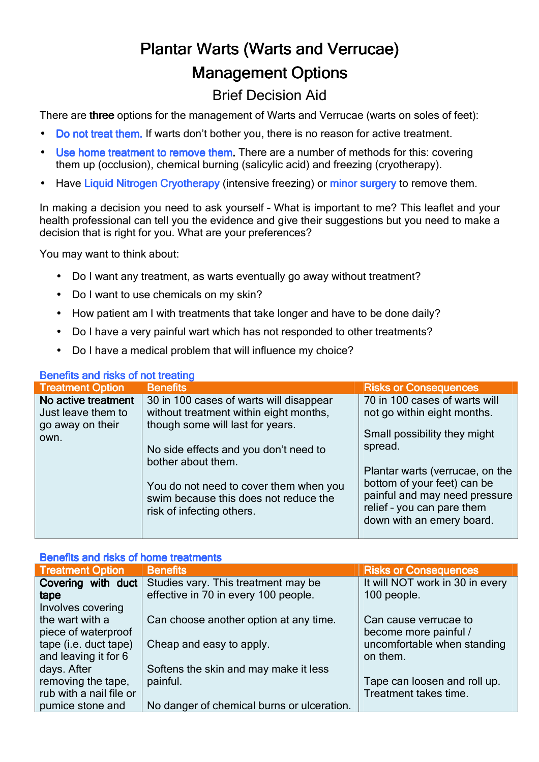# Plantar Warts (Warts and Verrucae) **Management Options**

# Brief Decision Aid

There are three options for the management of Warts and Verrucae (warts on soles of feet):

- Do not treat them. If warts don't bother you, there is no reason for active treatment.
- Use home treatment to remove them. There are a number of methods for this: covering them up (occlusion), chemical burning (salicylic acid) and freezing (cryotherapy).
- Have Liquid Nitrogen Cryotherapy (intensive freezing) or minor surgery to remove them.

In making a decision you need to ask yourself – What is important to me? This leaflet and your health professional can tell you the evidence and give their suggestions but you need to make a decision that is right for you. What are your preferences?

You may want to think about:

- Do I want any treatment, as warts eventually go away without treatment?
- Do I want to use chemicals on my skin?
- How patient am I with treatments that take longer and have to be done daily?
- Do I have a very painful wart which has not responded to other treatments?
- Do I have a medical problem that will influence my choice?

## Benefits and risks of not treating

| <b>Deligits and now you not death re</b>                              |                                                                                                                                                                                                                                                                                                      |                                                                                                                                                                                                                                                                       |  |  |
|-----------------------------------------------------------------------|------------------------------------------------------------------------------------------------------------------------------------------------------------------------------------------------------------------------------------------------------------------------------------------------------|-----------------------------------------------------------------------------------------------------------------------------------------------------------------------------------------------------------------------------------------------------------------------|--|--|
| <b>Treatment Option</b>                                               | <b>Benefits</b>                                                                                                                                                                                                                                                                                      | <b>Risks or Consequences</b>                                                                                                                                                                                                                                          |  |  |
| No active treatment<br>Just leave them to<br>go away on their<br>own. | 30 in 100 cases of warts will disappear<br>without treatment within eight months,<br>though some will last for years.<br>No side effects and you don't need to<br>bother about them.<br>You do not need to cover them when you<br>swim because this does not reduce the<br>risk of infecting others. | 70 in 100 cases of warts will<br>not go within eight months.<br>Small possibility they might<br>spread.<br>Plantar warts (verrucae, on the<br>bottom of your feet) can be<br>painful and may need pressure<br>relief - you can pare them<br>down with an emery board. |  |  |

### Benefits and risks of home treatments

| <b>Treatment Option</b> | <b>Benefits</b>                            | <b>Risks or Consequences</b>    |
|-------------------------|--------------------------------------------|---------------------------------|
| Covering with duct      | Studies vary. This treatment may be        | It will NOT work in 30 in every |
| tape                    | effective in 70 in every 100 people.       | 100 people.                     |
| Involves covering       |                                            |                                 |
| the wart with a         | Can choose another option at any time.     | Can cause verrucae to           |
| piece of waterproof     |                                            | become more painful /           |
| tape (i.e. duct tape)   | Cheap and easy to apply.                   | uncomfortable when standing     |
| and leaving it for 6    |                                            | on them.                        |
| days. After             | Softens the skin and may make it less      |                                 |
| removing the tape,      | painful.                                   | Tape can loosen and roll up.    |
| rub with a nail file or |                                            | Treatment takes time.           |
| pumice stone and        | No danger of chemical burns or ulceration. |                                 |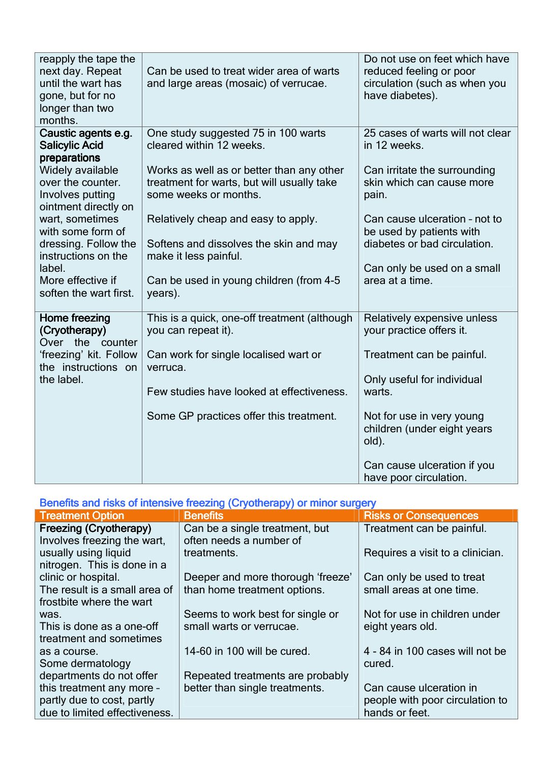| reapply the tape the<br>next day. Repeat<br>until the wart has<br>gone, but for no<br>longer than two<br>months. | Can be used to treat wider area of warts<br>and large areas (mosaic) of verrucae.                                | Do not use on feet which have<br>reduced feeling or poor<br>circulation (such as when you<br>have diabetes). |
|------------------------------------------------------------------------------------------------------------------|------------------------------------------------------------------------------------------------------------------|--------------------------------------------------------------------------------------------------------------|
| Caustic agents e.g.<br><b>Salicylic Acid</b><br>preparations                                                     | One study suggested 75 in 100 warts<br>cleared within 12 weeks.                                                  | 25 cases of warts will not clear<br>in 12 weeks.                                                             |
| Widely available<br>over the counter.<br>Involves putting<br>ointment directly on                                | Works as well as or better than any other<br>treatment for warts, but will usually take<br>some weeks or months. | Can irritate the surrounding<br>skin which can cause more<br>pain.                                           |
| wart, sometimes<br>with some form of                                                                             | Relatively cheap and easy to apply.                                                                              | Can cause ulceration - not to<br>be used by patients with<br>diabetes or bad circulation.                    |
| dressing. Follow the<br>instructions on the<br>label.                                                            | Softens and dissolves the skin and may<br>make it less painful.                                                  | Can only be used on a small                                                                                  |
| More effective if<br>soften the wart first.                                                                      | Can be used in young children (from 4-5<br>years).                                                               | area at a time.                                                                                              |
| Home freezing<br>(Cryotherapy)<br>Over the<br>counter                                                            | This is a quick, one-off treatment (although<br>you can repeat it).                                              | Relatively expensive unless<br>your practice offers it.                                                      |
| 'freezing' kit. Follow<br>the instructions on                                                                    | Can work for single localised wart or<br>verruca.                                                                | Treatment can be painful.                                                                                    |
| the label.                                                                                                       | Few studies have looked at effectiveness.                                                                        | Only useful for individual<br>warts.                                                                         |
|                                                                                                                  | Some GP practices offer this treatment.                                                                          | Not for use in very young<br>children (under eight years<br>old).                                            |
|                                                                                                                  |                                                                                                                  | Can cause ulceration if you<br>have poor circulation.                                                        |

### Benefits and risks of intensive freezing (Cryotherapy) or minor surgery

| <b>Treatment Option</b>       | <b>Benefits</b>                   | <b>Risks or Consequences</b>     |
|-------------------------------|-----------------------------------|----------------------------------|
| Freezing (Cryotherapy)        | Can be a single treatment, but    | Treatment can be painful.        |
| Involves freezing the wart,   | often needs a number of           |                                  |
| usually using liquid          | treatments.                       | Requires a visit to a clinician. |
| nitrogen. This is done in a   |                                   |                                  |
| clinic or hospital.           | Deeper and more thorough 'freeze' | Can only be used to treat        |
| The result is a small area of | than home treatment options.      | small areas at one time.         |
| frostbite where the wart      |                                   |                                  |
| was.                          | Seems to work best for single or  | Not for use in children under    |
| This is done as a one-off     | small warts or verrucae.          | eight years old.                 |
| treatment and sometimes       |                                   |                                  |
| as a course.                  | 14-60 in 100 will be cured.       | 4 - 84 in 100 cases will not be  |
| Some dermatology              |                                   | cured.                           |
| departments do not offer      | Repeated treatments are probably  |                                  |
| this treatment any more -     | better than single treatments.    | Can cause ulceration in          |
| partly due to cost, partly    |                                   | people with poor circulation to  |
| due to limited effectiveness. |                                   | hands or feet.                   |